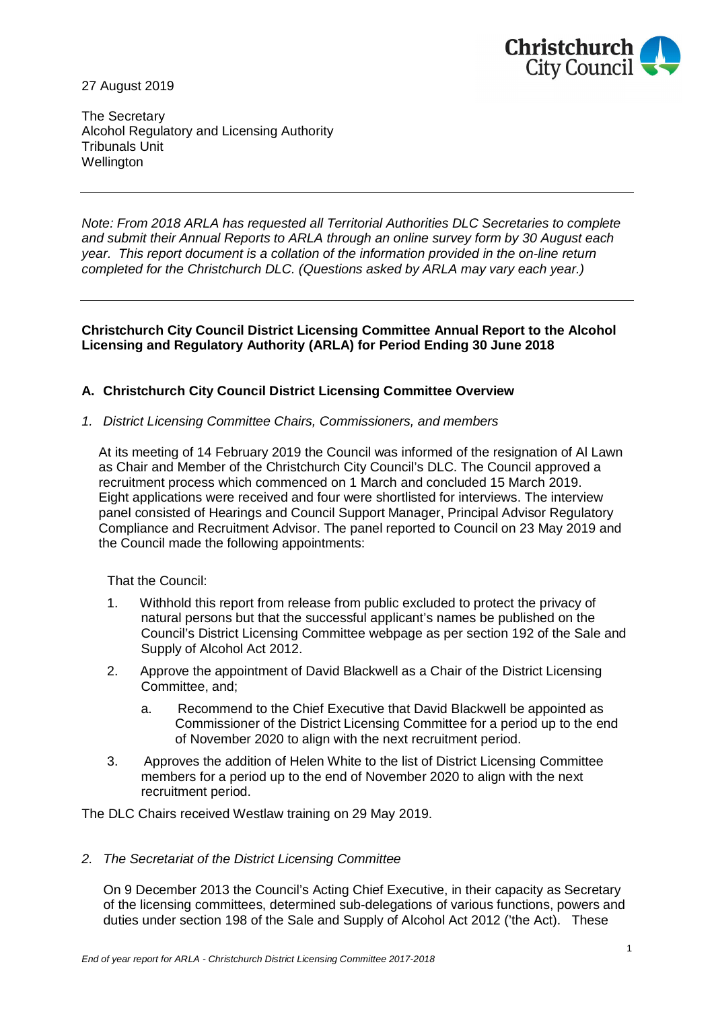

27 August 2019

The Secretary Alcohol Regulatory and Licensing Authority Tribunals Unit **Wellington** 

*Note: From 2018 ARLA has requested all Territorial Authorities DLC Secretaries to complete and submit their Annual Reports to ARLA through an online survey form by 30 August each year. This report document is a collation of the information provided in the on-line return completed for the Christchurch DLC. (Questions asked by ARLA may vary each year.)*

## **Christchurch City Council District Licensing Committee Annual Report to the Alcohol Licensing and Regulatory Authority (ARLA) for Period Ending 30 June 2018**

# **A. Christchurch City Council District Licensing Committee Overview**

### *1. District Licensing Committee Chairs, Commissioners, and members*

At its meeting of 14 February 2019 the Council was informed of the resignation of Al Lawn as Chair and Member of the Christchurch City Council's DLC. The Council approved a recruitment process which commenced on 1 March and concluded 15 March 2019. Eight applications were received and four were shortlisted for interviews. The interview panel consisted of Hearings and Council Support Manager, Principal Advisor Regulatory Compliance and Recruitment Advisor. The panel reported to Council on 23 May 2019 and the Council made the following appointments:

That the Council:

- 1. Withhold this report from release from public excluded to protect the privacy of natural persons but that the successful applicant's names be published on the Council's District Licensing Committee webpage as per section 192 of the Sale and Supply of Alcohol Act 2012.
- 2. Approve the appointment of David Blackwell as a Chair of the District Licensing Committee, and;
	- a. Recommend to the Chief Executive that David Blackwell be appointed as Commissioner of the District Licensing Committee for a period up to the end of November 2020 to align with the next recruitment period.
- 3. Approves the addition of Helen White to the list of District Licensing Committee members for a period up to the end of November 2020 to align with the next recruitment period.

The DLC Chairs received Westlaw training on 29 May 2019.

# *2. The Secretariat of the District Licensing Committee*

On 9 December 2013 the Council's Acting Chief Executive, in their capacity as Secretary of the licensing committees, determined sub-delegations of various functions, powers and duties under section 198 of the Sale and Supply of Alcohol Act 2012 ('the Act). These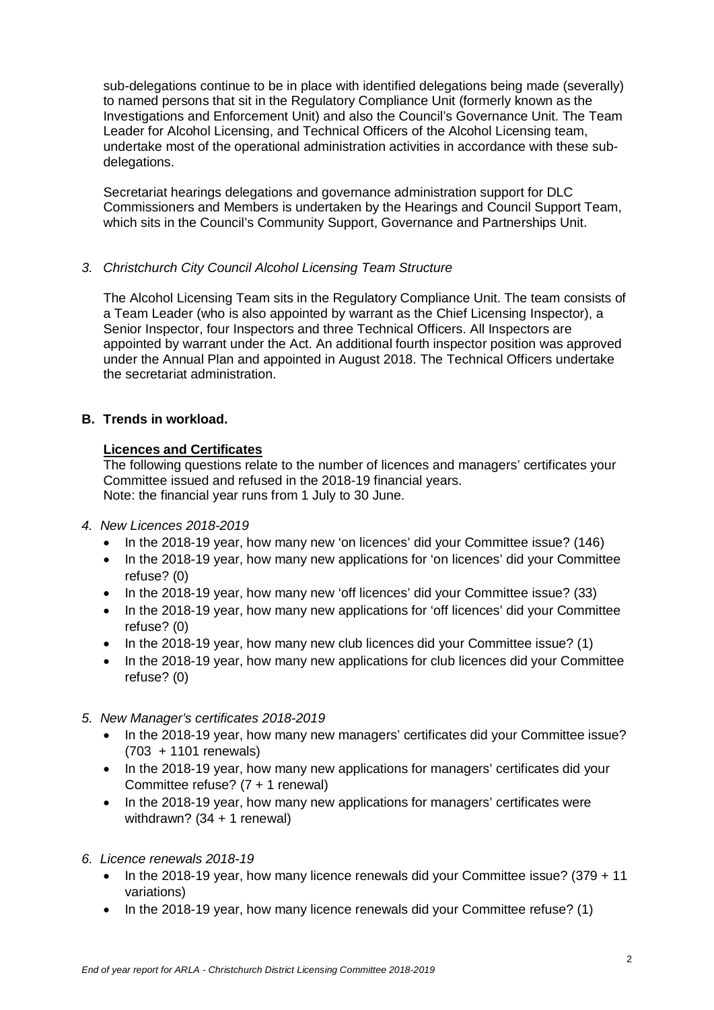sub-delegations continue to be in place with identified delegations being made (severally) to named persons that sit in the Regulatory Compliance Unit (formerly known as the Investigations and Enforcement Unit) and also the Council's Governance Unit. The Team Leader for Alcohol Licensing, and Technical Officers of the Alcohol Licensing team, undertake most of the operational administration activities in accordance with these subdelegations.

Secretariat hearings delegations and governance administration support for DLC Commissioners and Members is undertaken by the Hearings and Council Support Team, which sits in the Council's Community Support, Governance and Partnerships Unit.

# *3. Christchurch City Council Alcohol Licensing Team Structure*

The Alcohol Licensing Team sits in the Regulatory Compliance Unit. The team consists of a Team Leader (who is also appointed by warrant as the Chief Licensing Inspector), a Senior Inspector, four Inspectors and three Technical Officers. All Inspectors are appointed by warrant under the Act. An additional fourth inspector position was approved under the Annual Plan and appointed in August 2018. The Technical Officers undertake the secretariat administration.

# **B. Trends in workload.**

### **Licences and Certificates**

The following questions relate to the number of licences and managers' certificates your Committee issued and refused in the 2018-19 financial years. Note: the financial year runs from 1 July to 30 June.

- *4. New Licences 2018-2019*
	- · In the 2018-19 year, how many new 'on licences' did your Committee issue? (146)
	- · In the 2018-19 year, how many new applications for 'on licences' did your Committee refuse? (0)
	- · In the 2018-19 year, how many new 'off licences' did your Committee issue? (33)
	- In the 2018-19 year, how many new applications for 'off licences' did your Committee refuse? (0)
	- In the 2018-19 year, how many new club licences did your Committee issue? (1)
	- · In the 2018-19 year, how many new applications for club licences did your Committee refuse? (0)
- *5. New Manager's certificates 2018-2019*
	- In the 2018-19 year, how many new managers' certificates did your Committee issue? (703 + 1101 renewals)
	- In the 2018-19 year, how many new applications for managers' certificates did your Committee refuse? (7 + 1 renewal)
	- In the 2018-19 year, how many new applications for managers' certificates were withdrawn? (34 + 1 renewal)
- *6. Licence renewals 2018-19*
	- · In the 2018-19 year, how many licence renewals did your Committee issue? (379 + 11 variations)
	- · In the 2018-19 year, how many licence renewals did your Committee refuse? (1)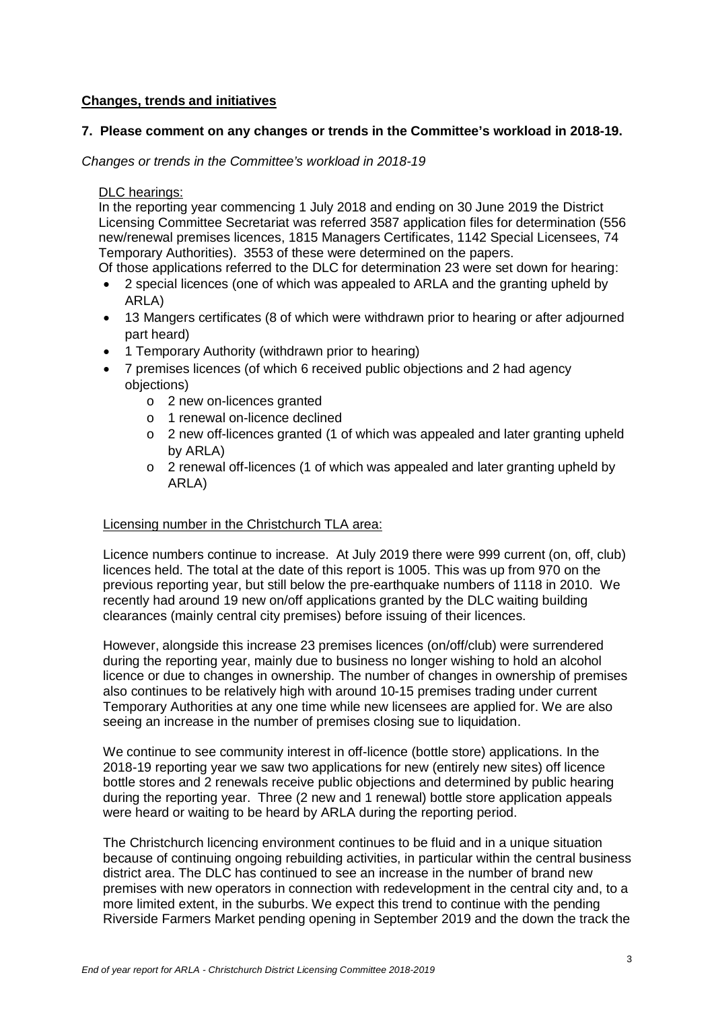# **Changes, trends and initiatives**

## **7. Please comment on any changes or trends in the Committee's workload in 2018-19.**

*Changes or trends in the Committee's workload in 2018-19*

### DLC hearings:

In the reporting year commencing 1 July 2018 and ending on 30 June 2019 the District Licensing Committee Secretariat was referred 3587 application files for determination (556 new/renewal premises licences, 1815 Managers Certificates, 1142 Special Licensees, 74 Temporary Authorities). 3553 of these were determined on the papers.

Of those applications referred to the DLC for determination 23 were set down for hearing:

- · 2 special licences (one of which was appealed to ARLA and the granting upheld by ARLA)
- · 13 Mangers certificates (8 of which were withdrawn prior to hearing or after adjourned part heard)
- · 1 Temporary Authority (withdrawn prior to hearing)
- · 7 premises licences (of which 6 received public objections and 2 had agency objections)
	- o 2 new on-licences granted
	- o 1 renewal on-licence declined
	- $\circ$  2 new off-licences granted (1 of which was appealed and later granting upheld by ARLA)
	- $\circ$  2 renewal off-licences (1 of which was appealed and later granting upheld by ARLA)

# Licensing number in the Christchurch TLA area:

Licence numbers continue to increase. At July 2019 there were 999 current (on, off, club) licences held. The total at the date of this report is 1005. This was up from 970 on the previous reporting year, but still below the pre-earthquake numbers of 1118 in 2010. We recently had around 19 new on/off applications granted by the DLC waiting building clearances (mainly central city premises) before issuing of their licences.

However, alongside this increase 23 premises licences (on/off/club) were surrendered during the reporting year, mainly due to business no longer wishing to hold an alcohol licence or due to changes in ownership. The number of changes in ownership of premises also continues to be relatively high with around 10-15 premises trading under current Temporary Authorities at any one time while new licensees are applied for. We are also seeing an increase in the number of premises closing sue to liquidation.

We continue to see community interest in off-licence (bottle store) applications. In the 2018-19 reporting year we saw two applications for new (entirely new sites) off licence bottle stores and 2 renewals receive public objections and determined by public hearing during the reporting year. Three (2 new and 1 renewal) bottle store application appeals were heard or waiting to be heard by ARLA during the reporting period.

The Christchurch licencing environment continues to be fluid and in a unique situation because of continuing ongoing rebuilding activities, in particular within the central business district area. The DLC has continued to see an increase in the number of brand new premises with new operators in connection with redevelopment in the central city and, to a more limited extent, in the suburbs. We expect this trend to continue with the pending Riverside Farmers Market pending opening in September 2019 and the down the track the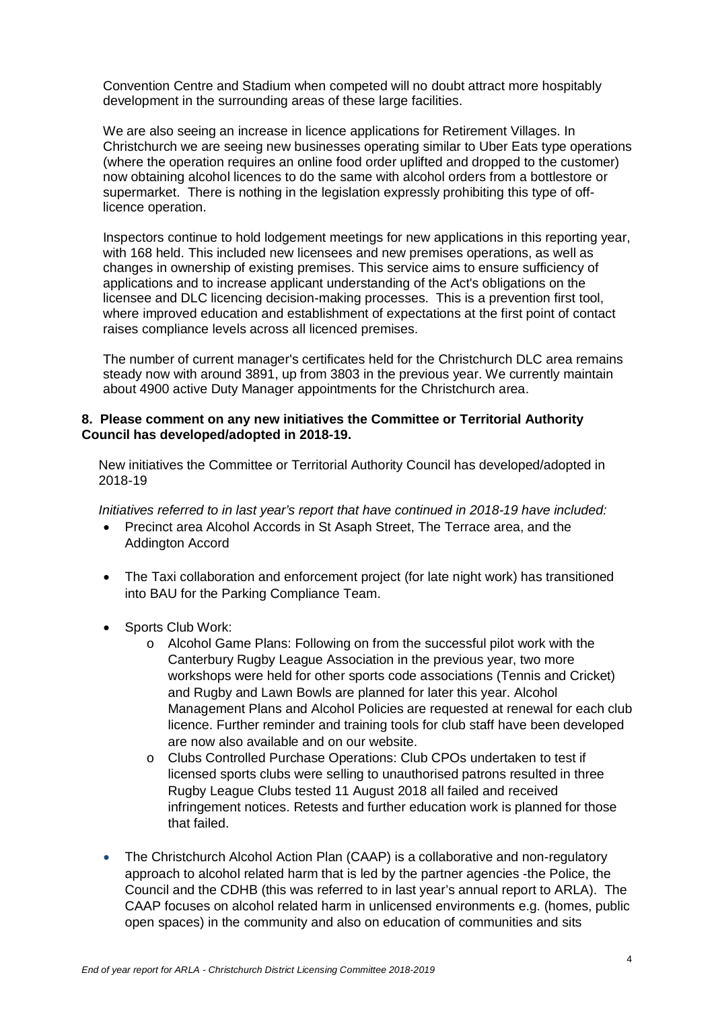Convention Centre and Stadium when competed will no doubt attract more hospitably development in the surrounding areas of these large facilities.

We are also seeing an increase in licence applications for Retirement Villages. In Christchurch we are seeing new businesses operating similar to Uber Eats type operations (where the operation requires an online food order uplifted and dropped to the customer) now obtaining alcohol licences to do the same with alcohol orders from a bottlestore or supermarket. There is nothing in the legislation expressly prohibiting this type of offlicence operation.

Inspectors continue to hold lodgement meetings for new applications in this reporting year, with 168 held. This included new licensees and new premises operations, as well as changes in ownership of existing premises. This service aims to ensure sufficiency of applications and to increase applicant understanding of the Act's obligations on the licensee and DLC licencing decision-making processes. This is a prevention first tool, where improved education and establishment of expectations at the first point of contact raises compliance levels across all licenced premises.

The number of current manager's certificates held for the Christchurch DLC area remains steady now with around 3891, up from 3803 in the previous year. We currently maintain about 4900 active Duty Manager appointments for the Christchurch area.

#### **8. Please comment on any new initiatives the Committee or Territorial Authority Council has developed/adopted in 2018-19.**

New initiatives the Committee or Territorial Authority Council has developed/adopted in 2018-19

*Initiatives referred to in last year's report that have continued in 2018-19 have included:*

- · Precinct area Alcohol Accords in St Asaph Street, The Terrace area, and the Addington Accord
- · The Taxi collaboration and enforcement project (for late night work) has transitioned into BAU for the Parking Compliance Team.
- Sports Club Work:
	- o Alcohol Game Plans: Following on from the successful pilot work with the Canterbury Rugby League Association in the previous year, two more workshops were held for other sports code associations (Tennis and Cricket) and Rugby and Lawn Bowls are planned for later this year. Alcohol Management Plans and Alcohol Policies are requested at renewal for each club licence. Further reminder and training tools for club staff have been developed are now also available and on our website.
	- o Clubs Controlled Purchase Operations: Club CPOs undertaken to test if licensed sports clubs were selling to unauthorised patrons resulted in three Rugby League Clubs tested 11 August 2018 all failed and received infringement notices. Retests and further education work is planned for those that failed.
- · The Christchurch Alcohol Action Plan (CAAP) is a collaborative and non-regulatory approach to alcohol related harm that is led by the partner agencies -the Police, the Council and the CDHB (this was referred to in last year's annual report to ARLA). The CAAP focuses on alcohol related harm in unlicensed environments e.g. (homes, public open spaces) in the community and also on education of communities and sits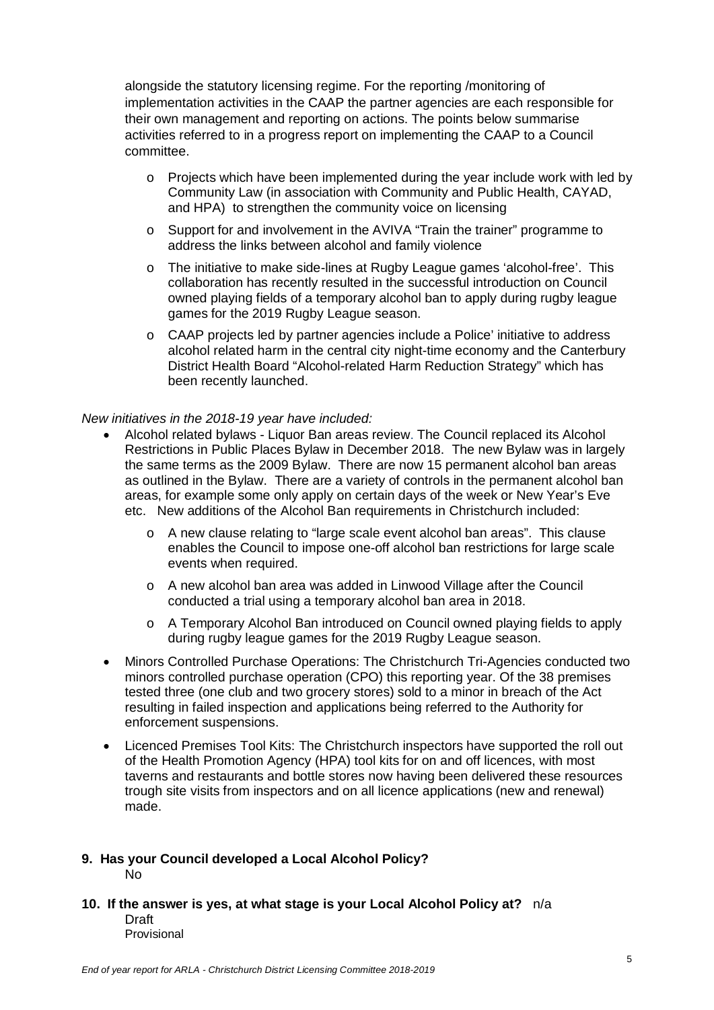alongside the statutory licensing regime. For the reporting /monitoring of implementation activities in the CAAP the partner agencies are each responsible for their own management and reporting on actions. The points below summarise activities referred to in a progress report on implementing the CAAP to a Council committee.

- o Projects which have been implemented during the year include work with led by Community Law (in association with Community and Public Health, CAYAD, and HPA) to strengthen the community voice on licensing
- o Support for and involvement in the AVIVA "Train the trainer" programme to address the links between alcohol and family violence
- o The initiative to make side-lines at Rugby League games 'alcohol-free'. This collaboration has recently resulted in the successful introduction on Council owned playing fields of a temporary alcohol ban to apply during rugby league games for the 2019 Rugby League season.
- o CAAP projects led by partner agencies include a Police' initiative to address alcohol related harm in the central city night-time economy and the Canterbury District Health Board "Alcohol-related Harm Reduction Strategy" which has been recently launched.

#### *New initiatives in the 2018-19 year have included:*

- · Alcohol related bylaws Liquor Ban areas review. The Council replaced its Alcohol Restrictions in Public Places Bylaw in December 2018. The new Bylaw was in largely the same terms as the 2009 Bylaw. There are now 15 permanent alcohol ban areas as outlined in the Bylaw. There are a variety of controls in the permanent alcohol ban areas, for example some only apply on certain days of the week or New Year's Eve etc. New additions of the Alcohol Ban requirements in Christchurch included:
	- o A new clause relating to "large scale event alcohol ban areas". This clause enables the Council to impose one-off alcohol ban restrictions for large scale events when required.
	- o A new alcohol ban area was added in Linwood Village after the Council conducted a trial using a temporary alcohol ban area in 2018.
	- o A Temporary Alcohol Ban introduced on Council owned playing fields to apply during rugby league games for the 2019 Rugby League season.
- · Minors Controlled Purchase Operations: The Christchurch Tri-Agencies conducted two minors controlled purchase operation (CPO) this reporting year. Of the 38 premises tested three (one club and two grocery stores) sold to a minor in breach of the Act resulting in failed inspection and applications being referred to the Authority for enforcement suspensions.
- · Licenced Premises Tool Kits: The Christchurch inspectors have supported the roll out of the Health Promotion Agency (HPA) tool kits for on and off licences, with most taverns and restaurants and bottle stores now having been delivered these resources trough site visits from inspectors and on all licence applications (new and renewal) made.

#### **9. Has your Council developed a Local Alcohol Policy?** No

**10. If the answer is yes, at what stage is your Local Alcohol Policy at?** n/a Draft Provisional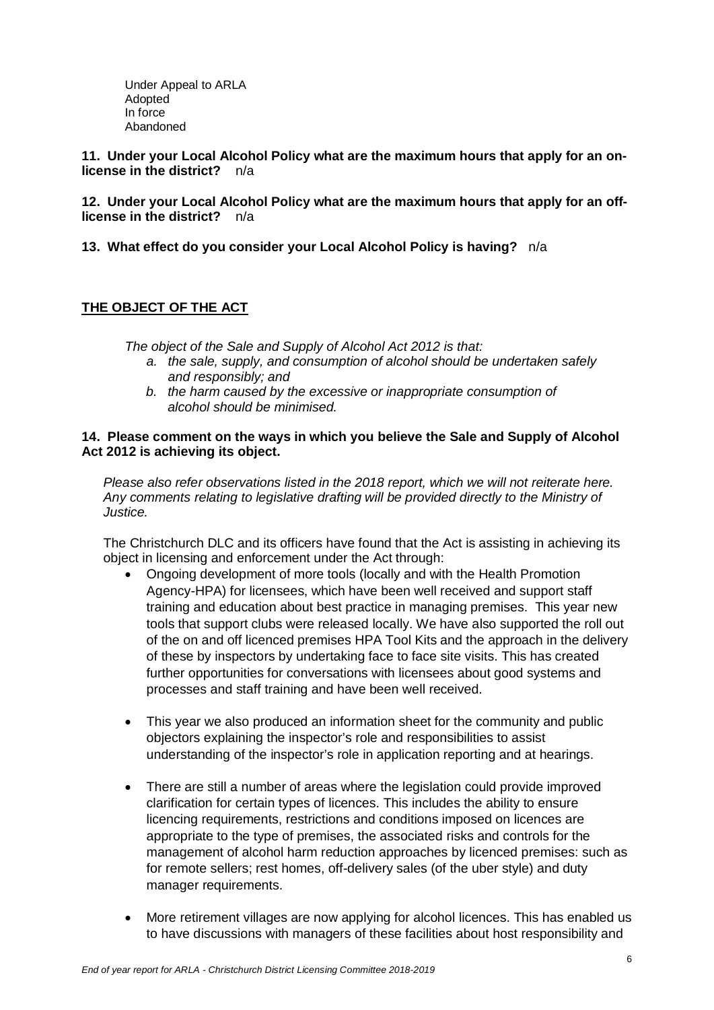Under Appeal to ARLA Adopted In force Abandoned

**11. Under your Local Alcohol Policy what are the maximum hours that apply for an onlicense in the district?** n/a

**12. Under your Local Alcohol Policy what are the maximum hours that apply for an offlicense in the district?** n/a

**13. What effect do you consider your Local Alcohol Policy is having?** n/a

# **THE OBJECT OF THE ACT**

*The object of the Sale and Supply of Alcohol Act 2012 is that:*

- *a. the sale, supply, and consumption of alcohol should be undertaken safely and responsibly; and*
- *b. the harm caused by the excessive or inappropriate consumption of alcohol should be minimised.*

### **14. Please comment on the ways in which you believe the Sale and Supply of Alcohol Act 2012 is achieving its object.**

*Please also refer observations listed in the 2018 report, which we will not reiterate here. Any comments relating to legislative drafting will be provided directly to the Ministry of Justice.*

The Christchurch DLC and its officers have found that the Act is assisting in achieving its object in licensing and enforcement under the Act through:

- · Ongoing development of more tools (locally and with the Health Promotion Agency-HPA) for licensees, which have been well received and support staff training and education about best practice in managing premises. This year new tools that support clubs were released locally. We have also supported the roll out of the on and off licenced premises HPA Tool Kits and the approach in the delivery of these by inspectors by undertaking face to face site visits. This has created further opportunities for conversations with licensees about good systems and processes and staff training and have been well received.
- · This year we also produced an information sheet for the community and public objectors explaining the inspector's role and responsibilities to assist understanding of the inspector's role in application reporting and at hearings.
- · There are still a number of areas where the legislation could provide improved clarification for certain types of licences. This includes the ability to ensure licencing requirements, restrictions and conditions imposed on licences are appropriate to the type of premises, the associated risks and controls for the management of alcohol harm reduction approaches by licenced premises: such as for remote sellers; rest homes, off-delivery sales (of the uber style) and duty manager requirements.
- · More retirement villages are now applying for alcohol licences. This has enabled us to have discussions with managers of these facilities about host responsibility and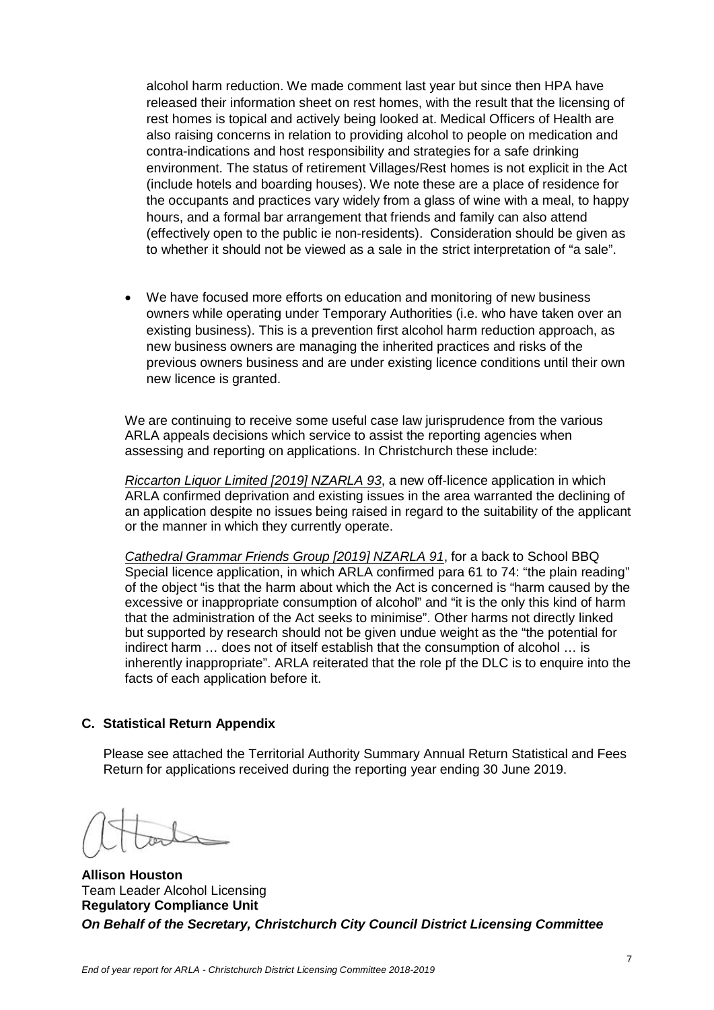alcohol harm reduction. We made comment last year but since then HPA have released their information sheet on rest homes, with the result that the licensing of rest homes is topical and actively being looked at. Medical Officers of Health are also raising concerns in relation to providing alcohol to people on medication and contra-indications and host responsibility and strategies for a safe drinking environment. The status of retirement Villages/Rest homes is not explicit in the Act (include hotels and boarding houses). We note these are a place of residence for the occupants and practices vary widely from a glass of wine with a meal, to happy hours, and a formal bar arrangement that friends and family can also attend (effectively open to the public ie non-residents). Consideration should be given as to whether it should not be viewed as a sale in the strict interpretation of "a sale".

We have focused more efforts on education and monitoring of new business owners while operating under Temporary Authorities (i.e. who have taken over an existing business). This is a prevention first alcohol harm reduction approach, as new business owners are managing the inherited practices and risks of the previous owners business and are under existing licence conditions until their own new licence is granted.

We are continuing to receive some useful case law jurisprudence from the various ARLA appeals decisions which service to assist the reporting agencies when assessing and reporting on applications. In Christchurch these include:

*Riccarton Liquor Limited [2019] NZARLA 93*, a new off-licence application in which ARLA confirmed deprivation and existing issues in the area warranted the declining of an application despite no issues being raised in regard to the suitability of the applicant or the manner in which they currently operate.

*Cathedral Grammar Friends Group [2019] NZARLA 91*, for a back to School BBQ Special licence application, in which ARLA confirmed para 61 to 74: "the plain reading" of the object "is that the harm about which the Act is concerned is "harm caused by the excessive or inappropriate consumption of alcohol" and "it is the only this kind of harm that the administration of the Act seeks to minimise". Other harms not directly linked but supported by research should not be given undue weight as the "the potential for indirect harm … does not of itself establish that the consumption of alcohol … is inherently inappropriate". ARLA reiterated that the role pf the DLC is to enquire into the facts of each application before it.

# **C. Statistical Return Appendix**

Please see attached the Territorial Authority Summary Annual Return Statistical and Fees Return for applications received during the reporting year ending 30 June 2019.

**Allison Houston** Team Leader Alcohol Licensing **Regulatory Compliance Unit** *On Behalf of the Secretary, Christchurch City Council District Licensing Committee*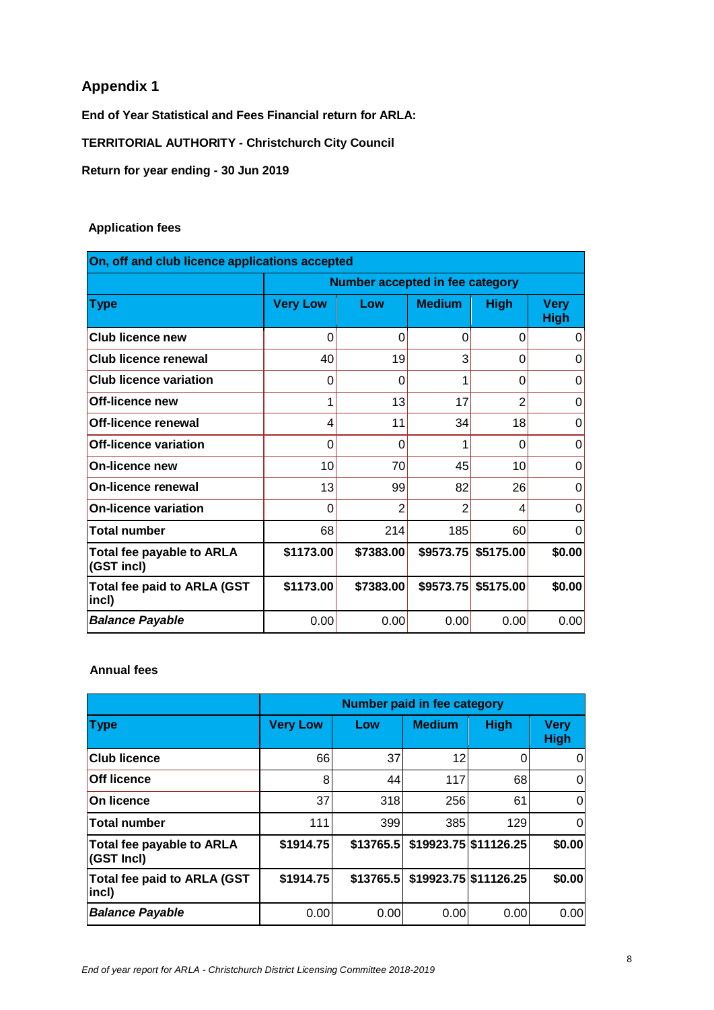# **Appendix 1**

**End of Year Statistical and Fees Financial return for ARLA:**

**TERRITORIAL AUTHORITY - Christchurch City Council**

**Return for year ending - 30 Jun 2019**

## **Application fees**

| On, off and club licence applications accepted |                                 |           |               |                      |                            |
|------------------------------------------------|---------------------------------|-----------|---------------|----------------------|----------------------------|
|                                                | Number accepted in fee category |           |               |                      |                            |
| <b>Type</b>                                    | <b>Very Low</b>                 | Low       | <b>Medium</b> | <b>High</b>          | <b>Very</b><br><b>High</b> |
| <b>Club licence new</b>                        | 0                               | 0         | 0             | 0                    | 0                          |
| Club licence renewal                           | 40                              | 19        | 3             | O                    | 0                          |
| <b>Club licence variation</b>                  | 0                               | 0         |               | 0                    | 0                          |
| Off-licence new                                | 1                               | 13        | 17            | 2                    | 0                          |
| Off-licence renewal                            | 4                               | 11        | 34            | 18                   | 0                          |
| Off-licence variation                          | $\mathbf 0$                     | 0         | 1             | $\Omega$             | 0                          |
| On-licence new                                 | 10                              | 70        | 45            | 10                   | 0                          |
| On-licence renewal                             | 13                              | 99        | 82            | 26                   | 0                          |
| <b>On-licence variation</b>                    | 0                               | 2         | 2             | 4                    | 0                          |
| <b>Total number</b>                            | 68                              | 214       | 185           | 60                   | 0                          |
| Total fee payable to ARLA<br>(GST incl)        | \$1173.00                       | \$7383.00 |               | $$9573.75$ \$5175.00 | \$0.00                     |
| <b>Total fee paid to ARLA (GST</b><br>incl)    | \$1173.00                       | \$7383.00 | \$9573.75     | \$5175.00            | \$0.00                     |
| <b>Balance Payable</b>                         | 0.00                            | 0.00      | 0.00          | 0.00                 | 0.00                       |

#### **Annual fees**

|                                                | <b>Number paid in fee category</b> |           |               |                       |                            |
|------------------------------------------------|------------------------------------|-----------|---------------|-----------------------|----------------------------|
| <b>Type</b>                                    | <b>Very Low</b>                    | Low       | <b>Medium</b> | <b>High</b>           | <b>Very</b><br><b>High</b> |
| <b>Club licence</b>                            | 66                                 | 37        | 12            |                       | 0                          |
| <b>Off licence</b>                             | 8                                  | 44        | 117           | 68                    | 0                          |
| On licence                                     | 37                                 | 318       | 256           | 61                    | 0                          |
| <b>Total number</b>                            | 111                                | 399       | 385           | 129                   | 0                          |
| <b>Total fee payable to ARLA</b><br>(GST Incl) | \$1914.75                          | \$13765.5 |               | \$19923.75 \$11126.25 | \$0.00                     |
| Total fee paid to ARLA (GST<br> incl)          | \$1914.75                          | \$13765.5 |               | \$19923.75 \$11126.25 | \$0.00                     |
| <b>Balance Payable</b>                         | 0.00                               | 0.00      | 0.00          | 0.00                  | 0.00                       |